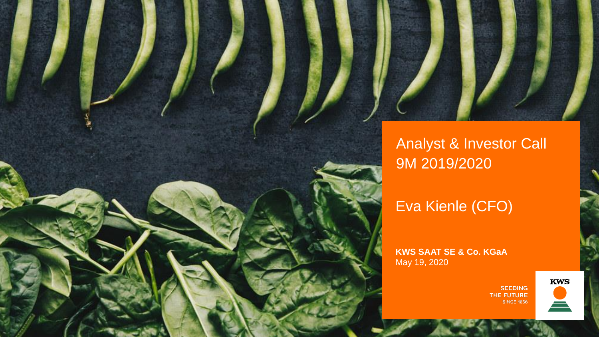

## Analyst & Investor Call 9M 2019/2020

Eva Kienle (CFO)

**KWS SAAT SE & Co. KGaA** May 19, 2020

> **SEEDING** THE FUTURE **SINCE 1856**

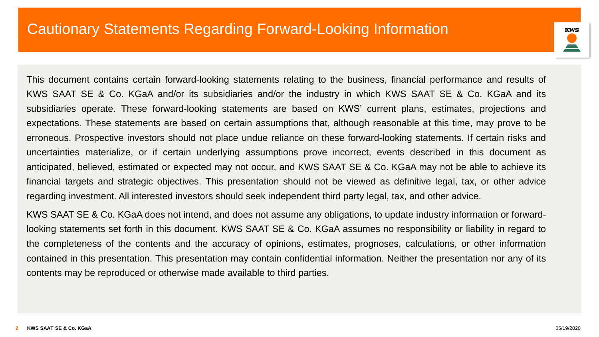

This document contains certain forward-looking statements relating to the business, financial performance and results of KWS SAAT SE & Co. KGaA and/or its subsidiaries and/or the industry in which KWS SAAT SE & Co. KGaA and its subsidiaries operate. These forward-looking statements are based on KWS' current plans, estimates, projections and expectations. These statements are based on certain assumptions that, although reasonable at this time, may prove to be erroneous. Prospective investors should not place undue reliance on these forward-looking statements. If certain risks and uncertainties materialize, or if certain underlying assumptions prove incorrect, events described in this document as anticipated, believed, estimated or expected may not occur, and KWS SAAT SE & Co. KGaA may not be able to achieve its financial targets and strategic objectives. This presentation should not be viewed as definitive legal, tax, or other advice regarding investment. All interested investors should seek independent third party legal, tax, and other advice.

KWS SAAT SE & Co. KGaA does not intend, and does not assume any obligations, to update industry information or forwardlooking statements set forth in this document. KWS SAAT SE & Co. KGaA assumes no responsibility or liability in regard to the completeness of the contents and the accuracy of opinions, estimates, prognoses, calculations, or other information contained in this presentation. This presentation may contain confidential information. Neither the presentation nor any of its contents may be reproduced or otherwise made available to third parties.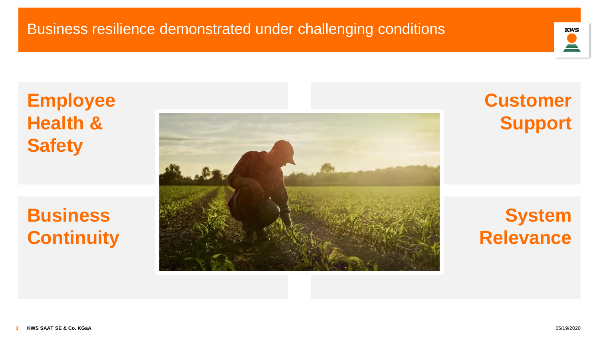

## **Employee Health & Safety**

## **Business Continuity**



## **Customer Support**

## **System Relevance**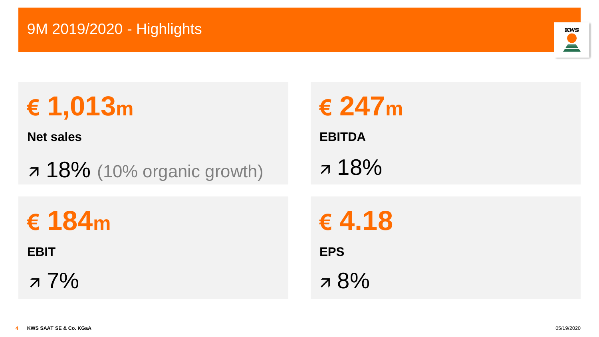

# **€ 1,013m**

**Net sales**

7 18% (10% organic growth) 7 18%

**€ 184m**

**EBIT**

 $77\%$   $78\%$ 

**€ 247m EBITDA € 4.18 EPS**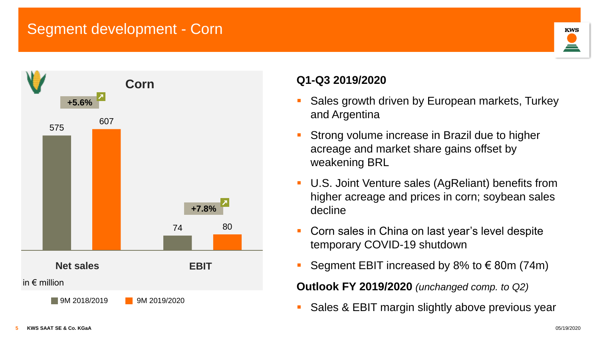### Segment development - Corn





#### **Q1-Q3 2019/2020**

- Sales growth driven by European markets, Turkey and Argentina
- Strong volume increase in Brazil due to higher acreage and market share gains offset by weakening BRL
- U.S. Joint Venture sales (AgReliant) benefits from higher acreage and prices in corn; soybean sales decline
- Corn sales in China on last year's level despite temporary COVID-19 shutdown
- Segment EBIT increased by 8% to  $\epsilon$  80m (74m)

**Outlook FY 2019/2020** *(unchanged comp. to Q2)*

■ Sales & EBIT margin slightly above previous year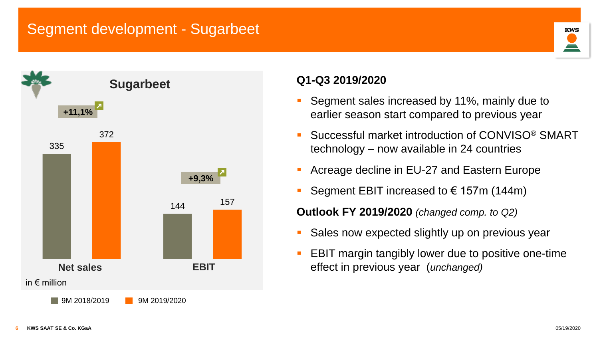#### Segment development - Sugarbeet



# **KWS**

#### **Q1-Q3 2019/2020**

- Segment sales increased by 11%, mainly due to earlier season start compared to previous year
- Successful market introduction of CONVISO<sup>®</sup> SMART technology – now available in 24 countries
- Acreage decline in EU-27 and Eastern Europe
- Segment EBIT increased to  $\epsilon$  157m (144m)

**Outlook FY 2019/2020** *(changed comp. to Q2)*

- Sales now expected slightly up on previous year
- **EBIT margin tangibly lower due to positive one-time** effect in previous year (*unchanged)*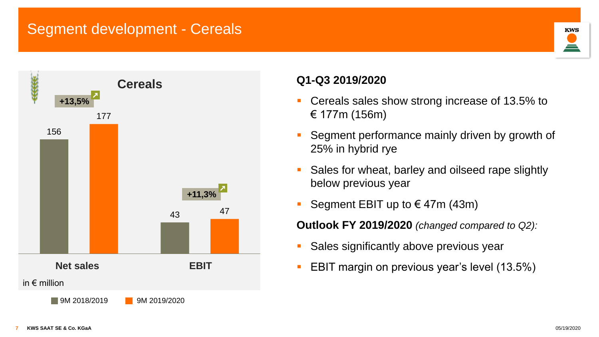#### Segment development - Cereals





#### **Q1-Q3 2019/2020**

- Cereals sales show strong increase of 13.5% to € 177m (156m)
- Segment performance mainly driven by growth of 25% in hybrid rye
- Sales for wheat, barley and oilseed rape slightly below previous year
- Segment EBIT up to  $\in$  47m (43m)

**Outlook FY 2019/2020** *(changed compared to Q2):*

- **BED Sales significantly above previous year**
- EBIT margin on previous year's level (13.5%)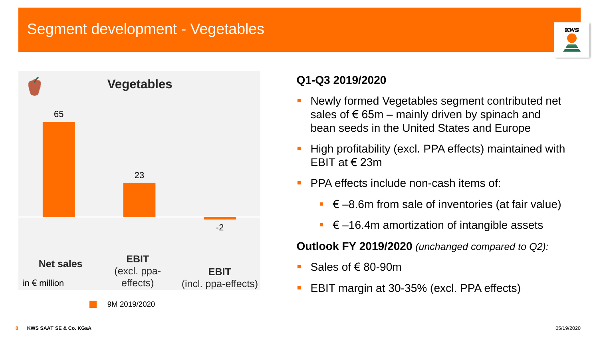### Segment development - Vegetables



#### **Q1-Q3 2019/2020**

- Newly formed Vegetables segment contributed net sales of  $\epsilon$  65m – mainly driven by spinach and bean seeds in the United States and Europe
- High profitability (excl. PPA effects) maintained with EBIT at € 23m
- **PPA effects include non-cash items of:** 
	- $\in$  –8.6m from sale of inventories (at fair value)
	- $\epsilon$  –16.4m amortization of intangible assets

**Outlook FY 2019/2020** *(unchanged compared to Q2):*

- Sales of € 80-90m
- EBIT margin at 30-35% (excl. PPA effects)

**KWS**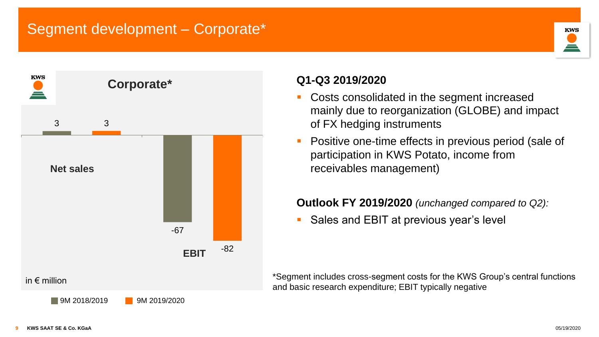#### Segment development – Corporate\*



#### **Q1-Q3 2019/2020**

- Costs consolidated in the segment increased mainly due to reorganization (GLOBE) and impact of FX hedging instruments
- Positive one-time effects in previous period (sale of participation in KWS Potato, income from receivables management)

#### **Outlook FY 2019/2020** *(unchanged compared to Q2):*

Sales and EBIT at previous year's level

\*Segment includes cross-segment costs for the KWS Group's central functions and basic research expenditure; EBIT typically negative

**KWS**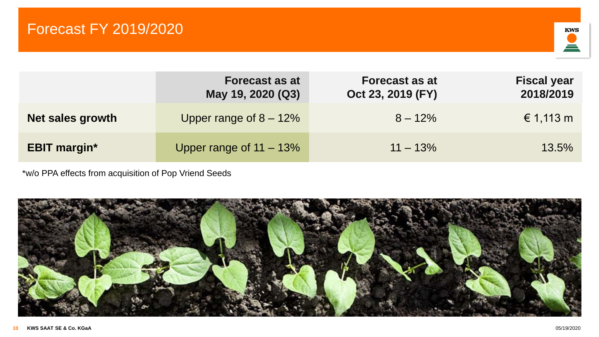

|                     | <b>Forecast as at</b><br>May 19, 2020 (Q3) | <b>Forecast as at</b><br>Oct 23, 2019 (FY) | <b>Fiscal year</b><br>2018/2019 |
|---------------------|--------------------------------------------|--------------------------------------------|---------------------------------|
| Net sales growth    | Upper range of $8 - 12\%$                  | $8 - 12\%$                                 | € 1,113 m                       |
| <b>EBIT margin*</b> | Upper range of 11 – 13%                    | $11 - 13\%$                                | 13.5%                           |

\*w/o PPA effects from acquisition of Pop Vriend Seeds